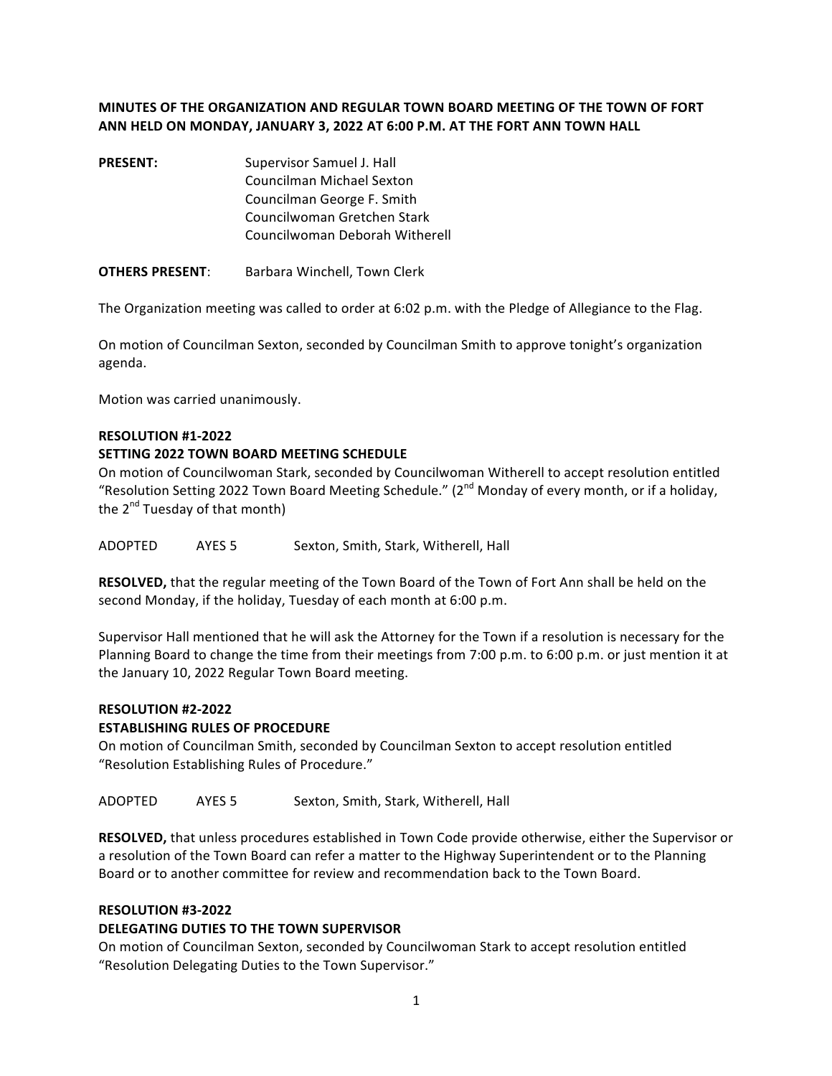# **MINUTES OF THE ORGANIZATION AND REGULAR TOWN BOARD MEETING OF THE TOWN OF FORT ANN HELD ON MONDAY, JANUARY 3, 2022 AT 6:00 P.M. AT THE FORT ANN TOWN HALL**

**PRESENT:** Supervisor Samuel J. Hall Councilman Michael Sexton Councilman George F. Smith Councilwoman Gretchen Stark Councilwoman Deborah Witherell

**OTHERS PRESENT:** Barbara Winchell, Town Clerk

The Organization meeting was called to order at 6:02 p.m. with the Pledge of Allegiance to the Flag.

On motion of Councilman Sexton, seconded by Councilman Smith to approve tonight's organization agenda.

Motion was carried unanimously.

#### **RESOLUTION #1-2022**

#### **SETTING 2022 TOWN BOARD MEETING SCHEDULE**

On motion of Councilwoman Stark, seconded by Councilwoman Witherell to accept resolution entitled "Resolution Setting 2022 Town Board Meeting Schedule." (2<sup>nd</sup> Monday of every month, or if a holiday, the  $2^{nd}$  Tuesday of that month)

ADOPTED AYES 5 Sexton, Smith, Stark, Witherell, Hall

**RESOLVED,** that the regular meeting of the Town Board of the Town of Fort Ann shall be held on the second Monday, if the holiday, Tuesday of each month at 6:00 p.m.

Supervisor Hall mentioned that he will ask the Attorney for the Town if a resolution is necessary for the Planning Board to change the time from their meetings from 7:00 p.m. to 6:00 p.m. or just mention it at the January 10, 2022 Regular Town Board meeting.

#### **RESOLUTION #2-2022**

#### **ESTABLISHING RULES OF PROCEDURE**

On motion of Councilman Smith, seconded by Councilman Sexton to accept resolution entitled "Resolution Establishing Rules of Procedure."

ADOPTED AYES 5 Sexton, Smith, Stark, Witherell, Hall

**RESOLVED,** that unless procedures established in Town Code provide otherwise, either the Supervisor or a resolution of the Town Board can refer a matter to the Highway Superintendent or to the Planning Board or to another committee for review and recommendation back to the Town Board.

#### **RESOLUTION #3-2022**

#### **DELEGATING DUTIES TO THE TOWN SUPERVISOR**

On motion of Councilman Sexton, seconded by Councilwoman Stark to accept resolution entitled "Resolution Delegating Duties to the Town Supervisor."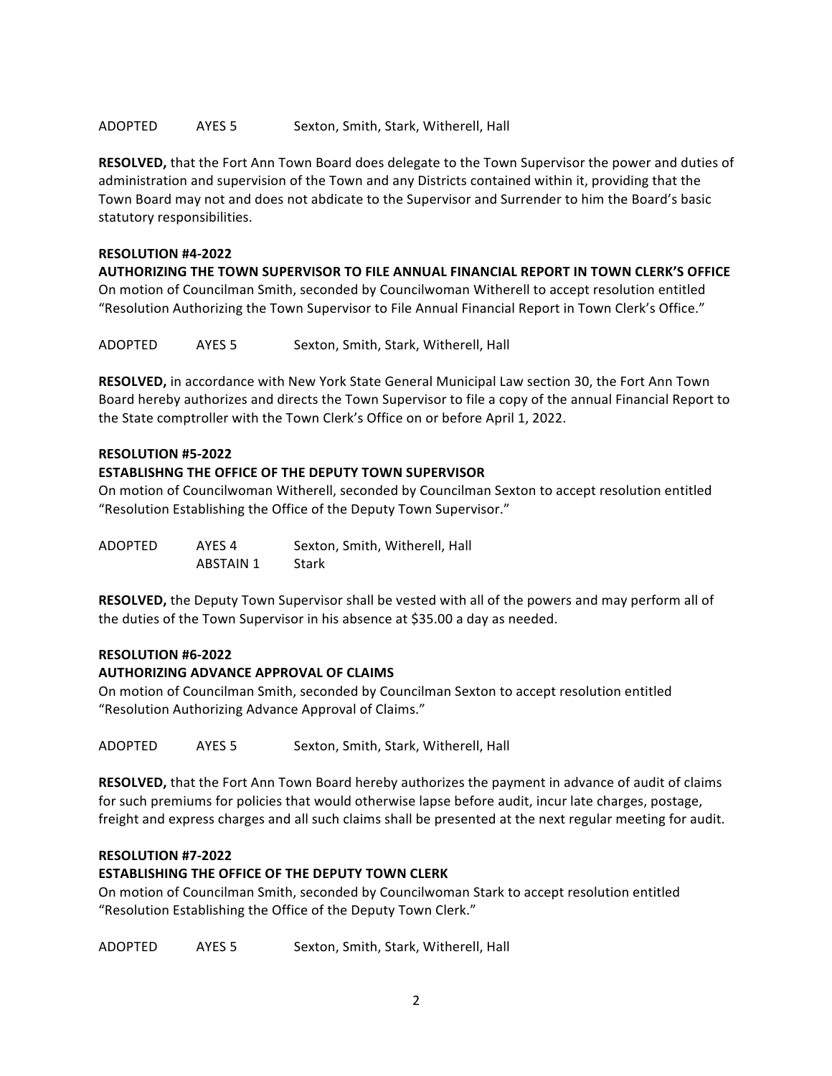### ADOPTED AYES 5 Sexton, Smith, Stark, Witherell, Hall

**RESOLVED,** that the Fort Ann Town Board does delegate to the Town Supervisor the power and duties of administration and supervision of the Town and any Districts contained within it, providing that the Town Board may not and does not abdicate to the Supervisor and Surrender to him the Board's basic statutory responsibilities.

#### **RESOLUTION #4-2022**

**AUTHORIZING THE TOWN SUPERVISOR TO FILE ANNUAL FINANCIAL REPORT IN TOWN CLERK'S OFFICE** On motion of Councilman Smith, seconded by Councilwoman Witherell to accept resolution entitled "Resolution Authorizing the Town Supervisor to File Annual Financial Report in Town Clerk's Office."

ADOPTED AYES 5 Sexton, Smith, Stark, Witherell, Hall

**RESOLVED,** in accordance with New York State General Municipal Law section 30, the Fort Ann Town Board hereby authorizes and directs the Town Supervisor to file a copy of the annual Financial Report to the State comptroller with the Town Clerk's Office on or before April 1, 2022.

### **RESOLUTION #5-2022**

### **ESTABLISHNG THE OFFICE OF THE DEPUTY TOWN SUPERVISOR**

On motion of Councilwoman Witherell, seconded by Councilman Sexton to accept resolution entitled "Resolution Establishing the Office of the Deputy Town Supervisor."

| ADOPTED | AYES 4    | Sexton, Smith, Witherell, Hall |
|---------|-----------|--------------------------------|
|         | ABSTAIN 1 | Stark                          |

**RESOLVED,** the Deputy Town Supervisor shall be vested with all of the powers and may perform all of the duties of the Town Supervisor in his absence at \$35.00 a day as needed.

#### **RESOLUTION #6-2022**

# **AUTHORIZING ADVANCE APPROVAL OF CLAIMS**

On motion of Councilman Smith, seconded by Councilman Sexton to accept resolution entitled "Resolution Authorizing Advance Approval of Claims."

ADOPTED AYES 5 Sexton, Smith, Stark, Witherell, Hall

**RESOLVED,** that the Fort Ann Town Board hereby authorizes the payment in advance of audit of claims for such premiums for policies that would otherwise lapse before audit, incur late charges, postage, freight and express charges and all such claims shall be presented at the next regular meeting for audit.

#### **RESOLUTION #7-2022**

# **ESTABLISHING THE OFFICE OF THE DEPUTY TOWN CLERK**

On motion of Councilman Smith, seconded by Councilwoman Stark to accept resolution entitled "Resolution Establishing the Office of the Deputy Town Clerk."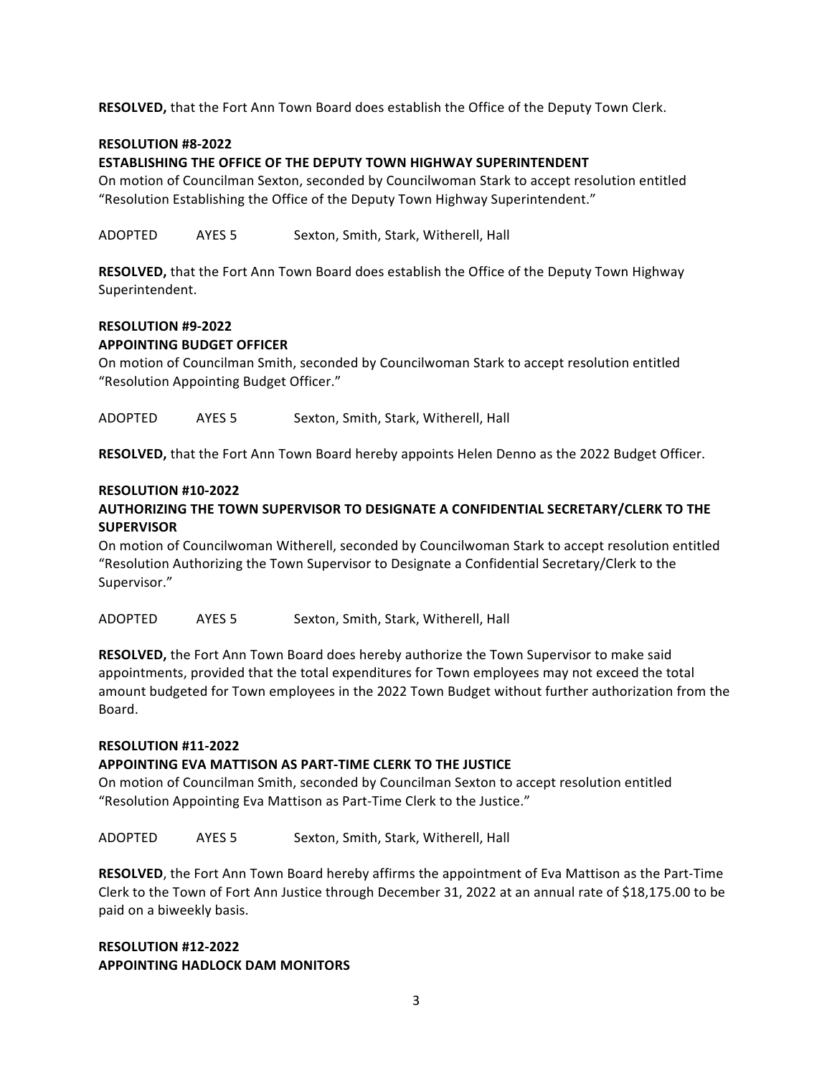**RESOLVED,** that the Fort Ann Town Board does establish the Office of the Deputy Town Clerk.

#### **RESOLUTION #8-2022**

#### **ESTABLISHING THE OFFICE OF THE DEPUTY TOWN HIGHWAY SUPERINTENDENT**

On motion of Councilman Sexton, seconded by Councilwoman Stark to accept resolution entitled "Resolution Establishing the Office of the Deputy Town Highway Superintendent."

ADOPTED AYES 5 Sexton, Smith, Stark, Witherell, Hall

**RESOLVED,** that the Fort Ann Town Board does establish the Office of the Deputy Town Highway Superintendent.

# **RESOLUTION #9-2022**

# **APPOINTING BUDGET OFFICER**

On motion of Councilman Smith, seconded by Councilwoman Stark to accept resolution entitled "Resolution Appointing Budget Officer."

ADOPTED AYES 5 Sexton, Smith, Stark, Witherell, Hall

**RESOLVED,** that the Fort Ann Town Board hereby appoints Helen Denno as the 2022 Budget Officer.

### **RESOLUTION #10-2022**

# **AUTHORIZING THE TOWN SUPERVISOR TO DESIGNATE A CONFIDENTIAL SECRETARY/CLERK TO THE SUPERVISOR**

On motion of Councilwoman Witherell, seconded by Councilwoman Stark to accept resolution entitled "Resolution Authorizing the Town Supervisor to Designate a Confidential Secretary/Clerk to the Supervisor."

ADOPTED AYES 5 Sexton, Smith, Stark, Witherell, Hall

**RESOLVED,** the Fort Ann Town Board does hereby authorize the Town Supervisor to make said appointments, provided that the total expenditures for Town employees may not exceed the total amount budgeted for Town employees in the 2022 Town Budget without further authorization from the Board.

#### **RESOLUTION #11-2022**

#### APPOINTING EVA MATTISON AS PART-TIME CLERK TO THE JUSTICE

On motion of Councilman Smith, seconded by Councilman Sexton to accept resolution entitled "Resolution Appointing Eva Mattison as Part-Time Clerk to the Justice."

ADOPTED AYES 5 Sexton, Smith, Stark, Witherell, Hall

**RESOLVED**, the Fort Ann Town Board hereby affirms the appointment of Eva Mattison as the Part-Time Clerk to the Town of Fort Ann Justice through December 31, 2022 at an annual rate of \$18,175.00 to be paid on a biweekly basis.

# **RESOLUTION #12-2022 APPOINTING HADLOCK DAM MONITORS**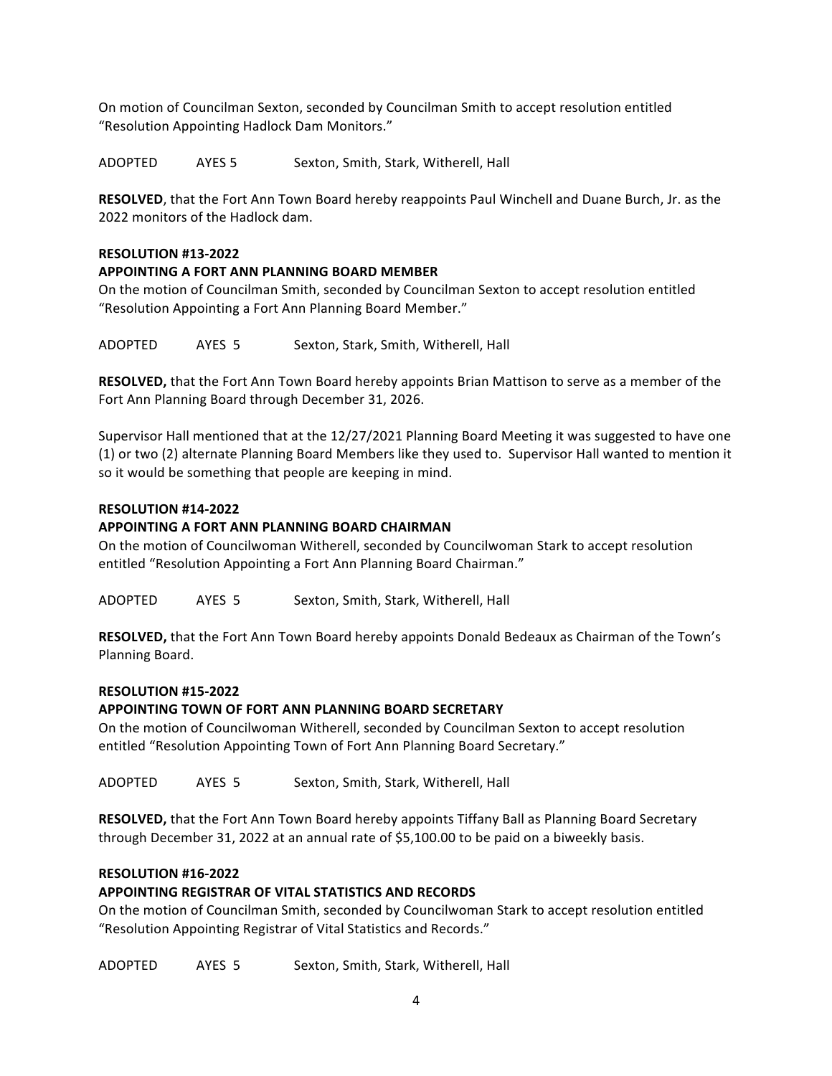On motion of Councilman Sexton, seconded by Councilman Smith to accept resolution entitled "Resolution Appointing Hadlock Dam Monitors."

ADOPTED AYES 5 Sexton, Smith, Stark, Witherell, Hall

**RESOLVED**, that the Fort Ann Town Board hereby reappoints Paul Winchell and Duane Burch, Jr. as the 2022 monitors of the Hadlock dam.

#### **RESOLUTION #13-2022**

### **APPOINTING A FORT ANN PLANNING BOARD MEMBER**

On the motion of Councilman Smith, seconded by Councilman Sexton to accept resolution entitled "Resolution Appointing a Fort Ann Planning Board Member."

ADOPTED AYES 5 Sexton, Stark, Smith, Witherell, Hall

**RESOLVED,** that the Fort Ann Town Board hereby appoints Brian Mattison to serve as a member of the Fort Ann Planning Board through December 31, 2026.

Supervisor Hall mentioned that at the 12/27/2021 Planning Board Meeting it was suggested to have one (1) or two (2) alternate Planning Board Members like they used to. Supervisor Hall wanted to mention it so it would be something that people are keeping in mind.

### **RESOLUTION #14-2022**

### **APPOINTING A FORT ANN PLANNING BOARD CHAIRMAN**

On the motion of Councilwoman Witherell, seconded by Councilwoman Stark to accept resolution entitled "Resolution Appointing a Fort Ann Planning Board Chairman."

ADOPTED AYES 5 Sexton, Smith, Stark, Witherell, Hall

**RESOLVED,** that the Fort Ann Town Board hereby appoints Donald Bedeaux as Chairman of the Town's Planning Board.

#### **RESOLUTION #15-2022**

#### **APPOINTING TOWN OF FORT ANN PLANNING BOARD SECRETARY**

On the motion of Councilwoman Witherell, seconded by Councilman Sexton to accept resolution entitled "Resolution Appointing Town of Fort Ann Planning Board Secretary."

ADOPTED AYES 5 Sexton, Smith, Stark, Witherell, Hall

**RESOLVED,** that the Fort Ann Town Board hereby appoints Tiffany Ball as Planning Board Secretary through December 31, 2022 at an annual rate of \$5,100.00 to be paid on a biweekly basis.

# **RESOLUTION #16-2022**

# **APPOINTING REGISTRAR OF VITAL STATISTICS AND RECORDS**

On the motion of Councilman Smith, seconded by Councilwoman Stark to accept resolution entitled "Resolution Appointing Registrar of Vital Statistics and Records."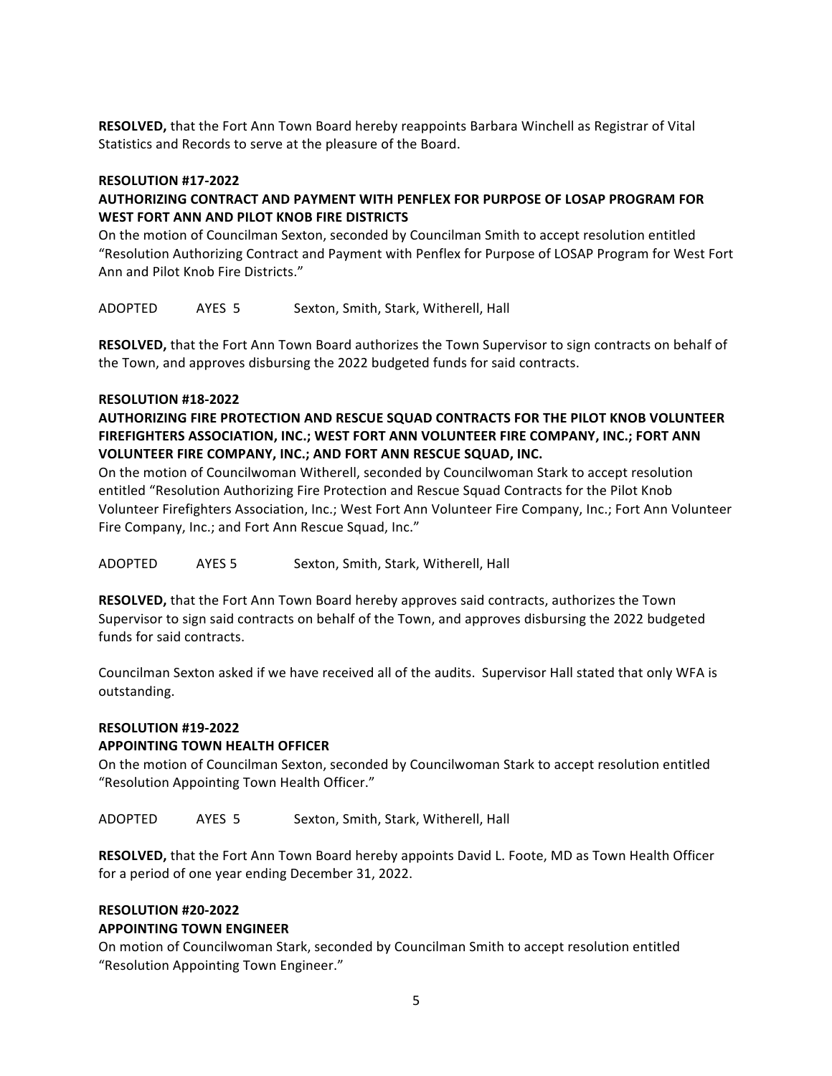**RESOLVED,** that the Fort Ann Town Board hereby reappoints Barbara Winchell as Registrar of Vital Statistics and Records to serve at the pleasure of the Board.

#### **RESOLUTION #17-2022**

# AUTHORIZING CONTRACT AND PAYMENT WITH PENFLEX FOR PURPOSE OF LOSAP PROGRAM FOR WEST FORT ANN AND PILOT KNOB FIRE DISTRICTS

On the motion of Councilman Sexton, seconded by Councilman Smith to accept resolution entitled "Resolution Authorizing Contract and Payment with Penflex for Purpose of LOSAP Program for West Fort Ann and Pilot Knob Fire Districts."

ADOPTED AYES 5 Sexton, Smith, Stark, Witherell, Hall

**RESOLVED,** that the Fort Ann Town Board authorizes the Town Supervisor to sign contracts on behalf of the Town, and approves disbursing the 2022 budgeted funds for said contracts.

#### **RESOLUTION #18-2022**

# **AUTHORIZING FIRE PROTECTION AND RESCUE SQUAD CONTRACTS FOR THE PILOT KNOB VOLUNTEER** FIREFIGHTERS ASSOCIATION, INC.; WEST FORT ANN VOLUNTEER FIRE COMPANY, INC.; FORT ANN **VOLUNTEER FIRE COMPANY, INC.; AND FORT ANN RESCUE SQUAD, INC.**

On the motion of Councilwoman Witherell, seconded by Councilwoman Stark to accept resolution entitled "Resolution Authorizing Fire Protection and Rescue Squad Contracts for the Pilot Knob Volunteer Firefighters Association, Inc.; West Fort Ann Volunteer Fire Company, Inc.; Fort Ann Volunteer Fire Company, Inc.; and Fort Ann Rescue Squad, Inc."

ADOPTED AYES 5 Sexton, Smith, Stark, Witherell, Hall

**RESOLVED,** that the Fort Ann Town Board hereby approves said contracts, authorizes the Town Supervisor to sign said contracts on behalf of the Town, and approves disbursing the 2022 budgeted funds for said contracts.

Councilman Sexton asked if we have received all of the audits. Supervisor Hall stated that only WFA is outstanding.

#### **RESOLUTION #19-2022**

#### **APPOINTING TOWN HEALTH OFFICER**

On the motion of Councilman Sexton, seconded by Councilwoman Stark to accept resolution entitled "Resolution Appointing Town Health Officer."

ADOPTED AYES 5 Sexton, Smith, Stark, Witherell, Hall

**RESOLVED,** that the Fort Ann Town Board hereby appoints David L. Foote, MD as Town Health Officer for a period of one year ending December 31, 2022.

#### **RESOLUTION #20-2022**

#### **APPOINTING TOWN ENGINEER**

On motion of Councilwoman Stark, seconded by Councilman Smith to accept resolution entitled "Resolution Appointing Town Engineer."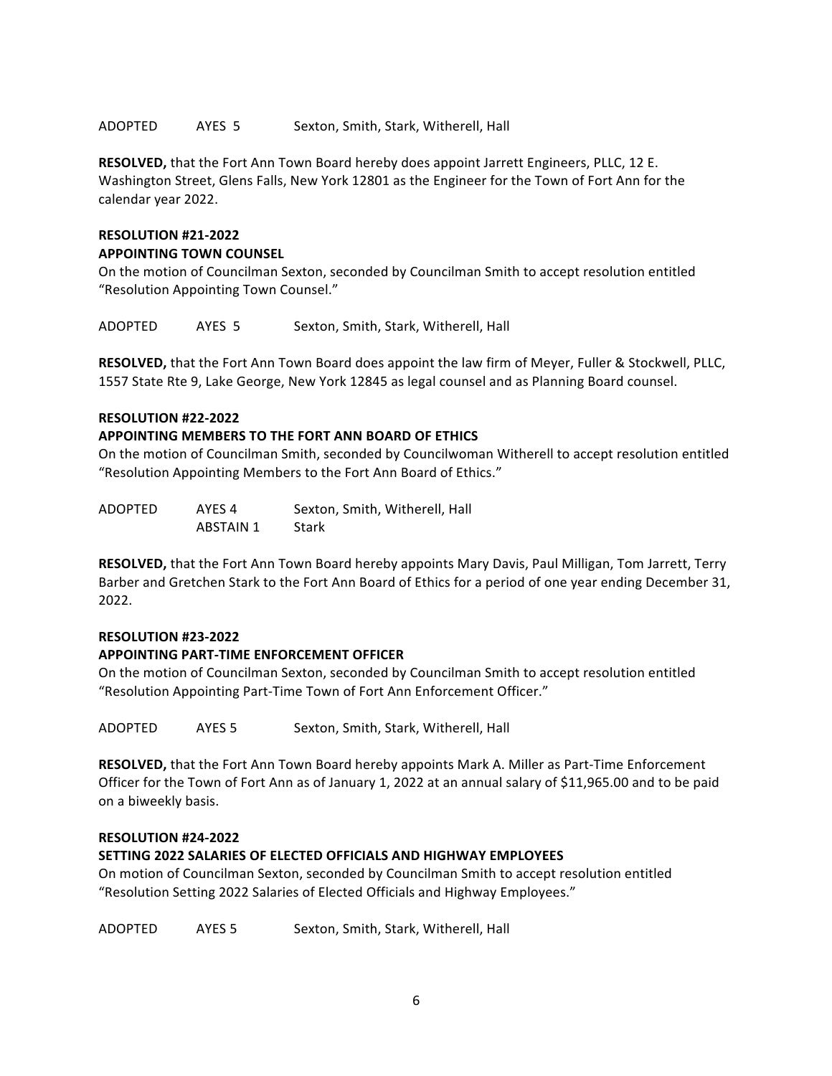#### ADOPTED AYES 5 Sexton, Smith, Stark, Witherell, Hall

RESOLVED, that the Fort Ann Town Board hereby does appoint Jarrett Engineers, PLLC, 12 E. Washington Street, Glens Falls, New York 12801 as the Engineer for the Town of Fort Ann for the calendar year 2022.

# **RESOLUTION #21-2022 APPOINTING TOWN COUNSEL**

On the motion of Councilman Sexton, seconded by Councilman Smith to accept resolution entitled "Resolution Appointing Town Counsel."

ADOPTED AYES 5 Sexton, Smith, Stark, Witherell, Hall

**RESOLVED,** that the Fort Ann Town Board does appoint the law firm of Meyer, Fuller & Stockwell, PLLC, 1557 State Rte 9, Lake George, New York 12845 as legal counsel and as Planning Board counsel.

#### **RESOLUTION #22-2022**

#### **APPOINTING MEMBERS TO THE FORT ANN BOARD OF ETHICS**

On the motion of Councilman Smith, seconded by Councilwoman Witherell to accept resolution entitled "Resolution Appointing Members to the Fort Ann Board of Ethics."

| ADOPTED | AYES <sub>4</sub> | Sexton, Smith, Witherell, Hall |
|---------|-------------------|--------------------------------|
|         | ABSTAIN 1         | Stark                          |

**RESOLVED,** that the Fort Ann Town Board hereby appoints Mary Davis, Paul Milligan, Tom Jarrett, Terry Barber and Gretchen Stark to the Fort Ann Board of Ethics for a period of one year ending December 31, 2022.

#### **RESOLUTION #23-2022**

#### **APPOINTING PART-TIME ENFORCEMENT OFFICER**

On the motion of Councilman Sexton, seconded by Councilman Smith to accept resolution entitled "Resolution Appointing Part-Time Town of Fort Ann Enforcement Officer."

ADOPTED AYES 5 Sexton, Smith, Stark, Witherell, Hall

**RESOLVED,** that the Fort Ann Town Board hereby appoints Mark A. Miller as Part-Time Enforcement Officer for the Town of Fort Ann as of January 1, 2022 at an annual salary of \$11,965.00 and to be paid on a biweekly basis.

#### **RESOLUTION #24-2022**

#### **SETTING 2022 SALARIES OF ELECTED OFFICIALS AND HIGHWAY EMPLOYEES**

On motion of Councilman Sexton, seconded by Councilman Smith to accept resolution entitled "Resolution Setting 2022 Salaries of Elected Officials and Highway Employees."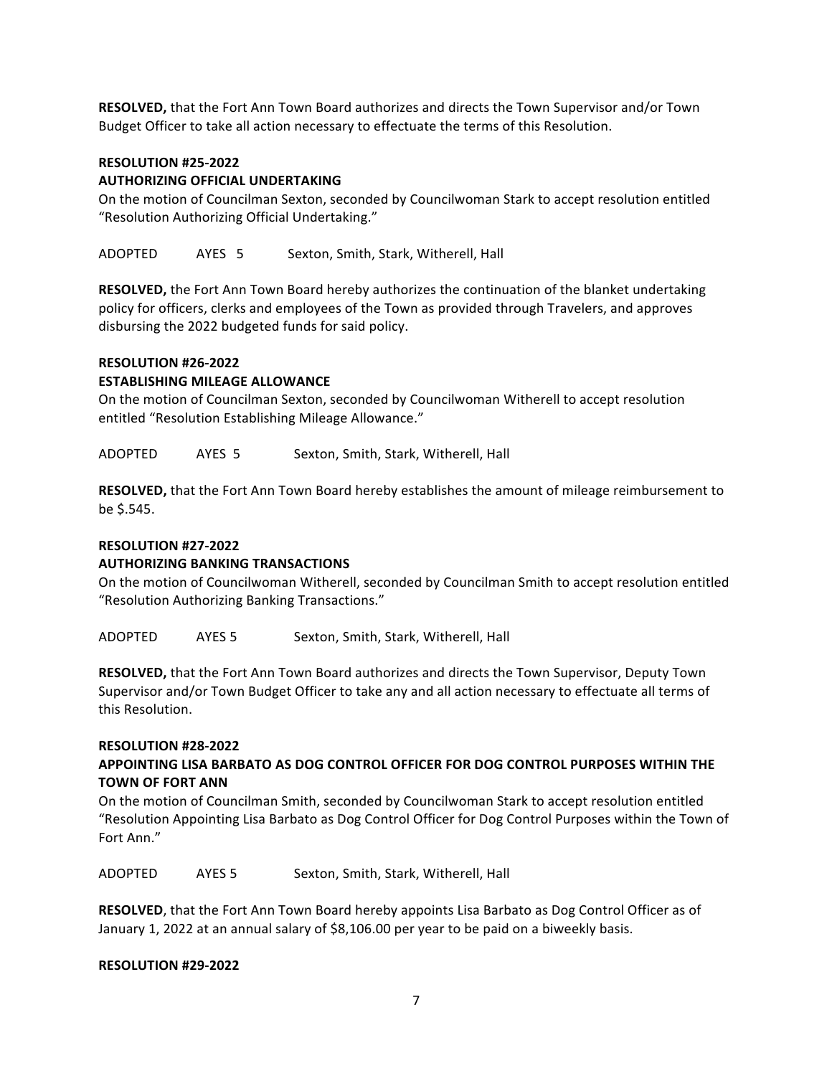**RESOLVED,** that the Fort Ann Town Board authorizes and directs the Town Supervisor and/or Town Budget Officer to take all action necessary to effectuate the terms of this Resolution.

#### **RESOLUTION #25-2022**

### **AUTHORIZING OFFICIAL UNDERTAKING**

On the motion of Councilman Sexton, seconded by Councilwoman Stark to accept resolution entitled "Resolution Authorizing Official Undertaking."

ADOPTED AYES 5 Sexton, Smith, Stark, Witherell, Hall

**RESOLVED,** the Fort Ann Town Board hereby authorizes the continuation of the blanket undertaking policy for officers, clerks and employees of the Town as provided through Travelers, and approves disbursing the 2022 budgeted funds for said policy.

#### **RESOLUTION #26-2022**

### **ESTABLISHING MILEAGE ALLOWANCE**

On the motion of Councilman Sexton, seconded by Councilwoman Witherell to accept resolution entitled "Resolution Establishing Mileage Allowance."

ADOPTED AYES 5 Sexton, Smith, Stark, Witherell, Hall

**RESOLVED,** that the Fort Ann Town Board hereby establishes the amount of mileage reimbursement to be \$.545.

#### **RESOLUTION #27-2022**

#### **AUTHORIZING BANKING TRANSACTIONS**

On the motion of Councilwoman Witherell, seconded by Councilman Smith to accept resolution entitled "Resolution Authorizing Banking Transactions."

ADOPTED AYES 5 Sexton, Smith, Stark, Witherell, Hall

**RESOLVED,** that the Fort Ann Town Board authorizes and directs the Town Supervisor, Deputy Town Supervisor and/or Town Budget Officer to take any and all action necessary to effectuate all terms of this Resolution.

#### **RESOLUTION #28-2022**

# **APPOINTING LISA BARBATO AS DOG CONTROL OFFICER FOR DOG CONTROL PURPOSES WITHIN THE TOWN OF FORT ANN**

On the motion of Councilman Smith, seconded by Councilwoman Stark to accept resolution entitled "Resolution Appointing Lisa Barbato as Dog Control Officer for Dog Control Purposes within the Town of Fort Ann."

ADOPTED AYES 5 Sexton, Smith, Stark, Witherell, Hall

**RESOLVED**, that the Fort Ann Town Board hereby appoints Lisa Barbato as Dog Control Officer as of January 1, 2022 at an annual salary of \$8,106.00 per year to be paid on a biweekly basis.

#### **RESOLUTION #29-2022**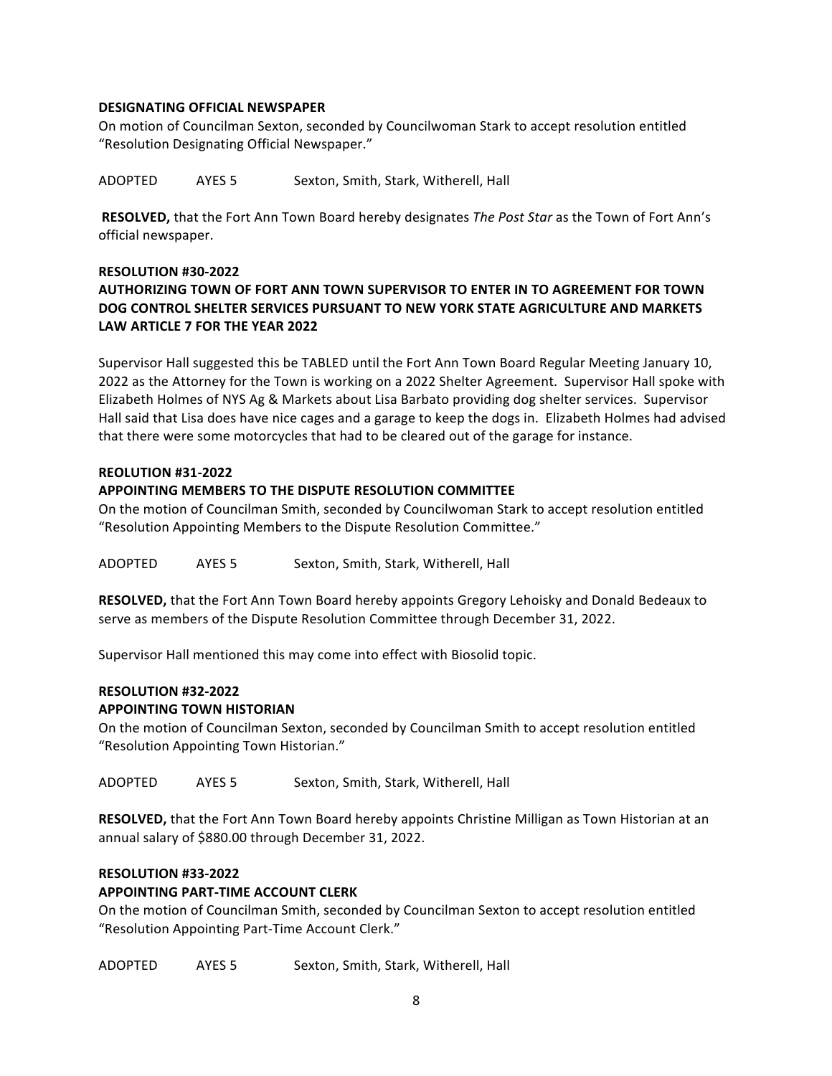#### **DESIGNATING OFFICIAL NEWSPAPER**

On motion of Councilman Sexton, seconded by Councilwoman Stark to accept resolution entitled "Resolution Designating Official Newspaper."

ADOPTED AYES 5 Sexton, Smith, Stark, Witherell, Hall

**RESOLVED,** that the Fort Ann Town Board hereby designates *The Post Star* as the Town of Fort Ann's official newspaper.

# **RESOLUTION #30-2022** AUTHORIZING TOWN OF FORT ANN TOWN SUPERVISOR TO ENTER IN TO AGREEMENT FOR TOWN **DOG CONTROL SHELTER SERVICES PURSUANT TO NEW YORK STATE AGRICULTURE AND MARKETS** LAW ARTICLE 7 FOR THE YEAR 2022

Supervisor Hall suggested this be TABLED until the Fort Ann Town Board Regular Meeting January 10, 2022 as the Attorney for the Town is working on a 2022 Shelter Agreement. Supervisor Hall spoke with Elizabeth Holmes of NYS Ag & Markets about Lisa Barbato providing dog shelter services. Supervisor Hall said that Lisa does have nice cages and a garage to keep the dogs in. Elizabeth Holmes had advised that there were some motorcycles that had to be cleared out of the garage for instance.

## **REOLUTION #31-2022**

# APPOINTING MEMBERS TO THE DISPUTE RESOLUTION COMMITTEE

On the motion of Councilman Smith, seconded by Councilwoman Stark to accept resolution entitled "Resolution Appointing Members to the Dispute Resolution Committee."

ADOPTED AYES 5 Sexton, Smith, Stark, Witherell, Hall

**RESOLVED,** that the Fort Ann Town Board hereby appoints Gregory Lehoisky and Donald Bedeaux to serve as members of the Dispute Resolution Committee through December 31, 2022.

Supervisor Hall mentioned this may come into effect with Biosolid topic.

# **RESOLUTION #32-2022 APPOINTING TOWN HISTORIAN**

On the motion of Councilman Sexton, seconded by Councilman Smith to accept resolution entitled "Resolution Appointing Town Historian."

ADOPTED AYES 5 Sexton, Smith, Stark, Witherell, Hall

**RESOLVED,** that the Fort Ann Town Board hereby appoints Christine Milligan as Town Historian at an annual salary of \$880.00 through December 31, 2022.

# **RESOLUTION #33-2022**

# **APPOINTING PART-TIME ACCOUNT CLERK**

On the motion of Councilman Smith, seconded by Councilman Sexton to accept resolution entitled "Resolution Appointing Part-Time Account Clerk."